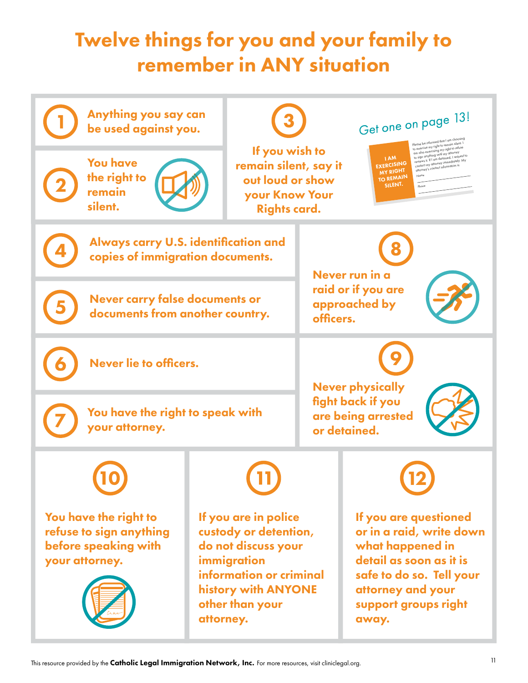## Twelve things for you and your family to remember in ANY situation